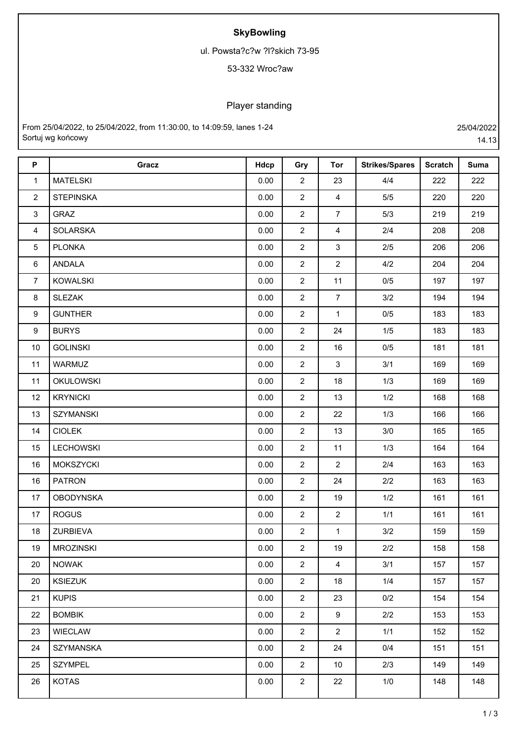## **SkyBowling**

ul. Powsta?c?w ?l?skich 73-95

## 53-332 Wroc?aw

## Player standing

From 25/04/2022, to 25/04/2022, from 11:30:00, to 14:09:59, lanes 1-24 25/04/2022 Sortuj wg końcowy 14.13

| $\boldsymbol{\mathsf{P}}$ | Gracz            | Hdcp | Gry            | <b>Tor</b>              | <b>Strikes/Spares</b> | <b>Scratch</b> | <b>Suma</b> |
|---------------------------|------------------|------|----------------|-------------------------|-----------------------|----------------|-------------|
| $\mathbf{1}$              | <b>MATELSKI</b>  | 0.00 | $\overline{2}$ | 23                      | 4/4                   | 222            | 222         |
| $\overline{2}$            | <b>STEPINSKA</b> | 0.00 | $\overline{2}$ | $\overline{\mathbf{4}}$ | 5/5                   | 220            | 220         |
| $\mathfrak{S}$            | <b>GRAZ</b>      | 0.00 | $\overline{2}$ | $\overline{7}$          | 5/3                   | 219            | 219         |
| $\overline{4}$            | <b>SOLARSKA</b>  | 0.00 | $\overline{2}$ | $\overline{\mathbf{4}}$ | 2/4                   | 208            | 208         |
| 5                         | <b>PLONKA</b>    | 0.00 | $\overline{2}$ | $\mathfrak{S}$          | 2/5                   | 206            | 206         |
| $\,6\,$                   | ANDALA           | 0.00 | $\overline{2}$ | $\mathbf{2}$            | 4/2                   | 204            | 204         |
| $\overline{7}$            | <b>KOWALSKI</b>  | 0.00 | $\overline{2}$ | 11                      | 0/5                   | 197            | 197         |
| $\bf 8$                   | <b>SLEZAK</b>    | 0.00 | $\overline{2}$ | $\overline{7}$          | 3/2                   | 194            | 194         |
| $\boldsymbol{9}$          | <b>GUNTHER</b>   | 0.00 | $\overline{2}$ | $\mathbf{1}$            | 0/5                   | 183            | 183         |
| $\boldsymbol{9}$          | <b>BURYS</b>     | 0.00 | $\overline{2}$ | 24                      | 1/5                   | 183            | 183         |
| 10                        | <b>GOLINSKI</b>  | 0.00 | $\overline{2}$ | 16                      | 0/5                   | 181            | 181         |
| 11                        | WARMUZ           | 0.00 | $\overline{2}$ | 3                       | 3/1                   | 169            | 169         |
| 11                        | <b>OKULOWSKI</b> | 0.00 | $\overline{2}$ | 18                      | 1/3                   | 169            | 169         |
| 12                        | <b>KRYNICKI</b>  | 0.00 | $\overline{2}$ | 13                      | 1/2                   | 168            | 168         |
| 13                        | <b>SZYMANSKI</b> | 0.00 | $\overline{2}$ | 22                      | 1/3                   | 166            | 166         |
| 14                        | <b>CIOLEK</b>    | 0.00 | $\overline{2}$ | 13                      | 3/0                   | 165            | 165         |
| 15                        | <b>LECHOWSKI</b> | 0.00 | $\overline{2}$ | 11                      | 1/3                   | 164            | 164         |
| 16                        | MOKSZYCKI        | 0.00 | $\overline{2}$ | $\overline{2}$          | 2/4                   | 163            | 163         |
| 16                        | <b>PATRON</b>    | 0.00 | $\overline{2}$ | 24                      | 2/2                   | 163            | 163         |
| 17                        | <b>OBODYNSKA</b> | 0.00 | $\overline{2}$ | 19                      | 1/2                   | 161            | 161         |
| 17                        | <b>ROGUS</b>     | 0.00 | $\overline{2}$ | $\overline{2}$          | 1/1                   | 161            | 161         |
| 18                        | <b>ZURBIEVA</b>  | 0.00 | $\overline{2}$ | $\mathbf{1}$            | 3/2                   | 159            | 159         |
| 19                        | <b>MROZINSKI</b> | 0.00 | $\overline{2}$ | 19                      | 2/2                   | 158            | 158         |
| 20                        | <b>NOWAK</b>     | 0.00 | $\overline{2}$ | $\overline{4}$          | 3/1                   | 157            | 157         |
| 20                        | <b>KSIEZUK</b>   | 0.00 | $\overline{2}$ | 18                      | 1/4                   | 157            | 157         |
| 21                        | <b>KUPIS</b>     | 0.00 | $\overline{2}$ | 23                      | 0/2                   | 154            | 154         |
| 22                        | <b>BOMBIK</b>    | 0.00 | $\overline{2}$ | 9                       | 2/2                   | 153            | 153         |
| 23                        | <b>WIECLAW</b>   | 0.00 | $\overline{2}$ | $\overline{2}$          | 1/1                   | 152            | 152         |
| 24                        | <b>SZYMANSKA</b> | 0.00 | $\overline{2}$ | 24                      | 0/4                   | 151            | 151         |
| 25                        | <b>SZYMPEL</b>   | 0.00 | $\overline{2}$ | 10                      | 2/3                   | 149            | 149         |
| 26                        | <b>KOTAS</b>     | 0.00 | $\overline{2}$ | 22                      | 1/0                   | 148            | 148         |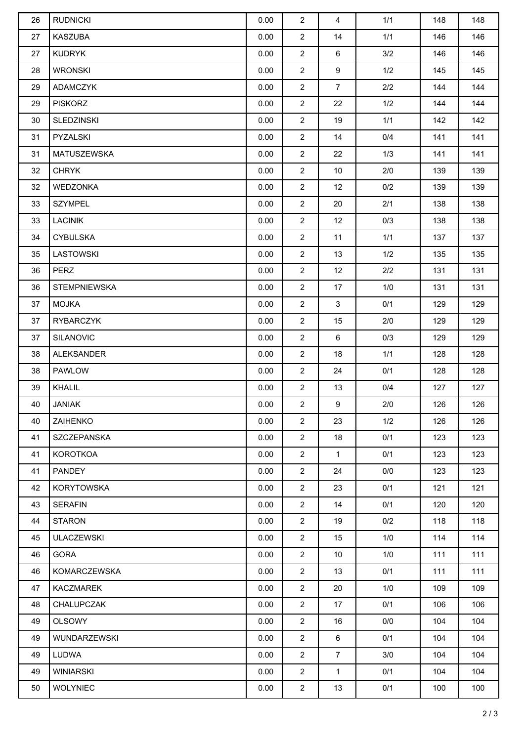| 26 | <b>RUDNICKI</b>     | 0.00 | $\overline{2}$ | $\overline{4}$ | 1/1 | 148 | 148 |
|----|---------------------|------|----------------|----------------|-----|-----|-----|
| 27 | <b>KASZUBA</b>      | 0.00 | $\overline{2}$ | 14             | 1/1 | 146 | 146 |
| 27 | <b>KUDRYK</b>       | 0.00 | $\overline{2}$ | 6              | 3/2 | 146 | 146 |
| 28 | <b>WRONSKI</b>      | 0.00 | $\overline{2}$ | 9              | 1/2 | 145 | 145 |
| 29 | ADAMCZYK            | 0.00 | $\overline{2}$ | $\overline{7}$ | 2/2 | 144 | 144 |
| 29 | <b>PISKORZ</b>      | 0.00 | $\overline{2}$ | 22             | 1/2 | 144 | 144 |
| 30 | <b>SLEDZINSKI</b>   | 0.00 | $\overline{2}$ | 19             | 1/1 | 142 | 142 |
| 31 | PYZALSKI            | 0.00 | $\overline{2}$ | 14             | 0/4 | 141 | 141 |
| 31 | MATUSZEWSKA         | 0.00 | $\overline{2}$ | 22             | 1/3 | 141 | 141 |
| 32 | <b>CHRYK</b>        | 0.00 | $\overline{2}$ | 10             | 2/0 | 139 | 139 |
| 32 | <b>WEDZONKA</b>     | 0.00 | $\overline{2}$ | 12             | 0/2 | 139 | 139 |
| 33 | <b>SZYMPEL</b>      | 0.00 | $\overline{2}$ | 20             | 2/1 | 138 | 138 |
| 33 | <b>LACINIK</b>      | 0.00 | $\overline{2}$ | 12             | 0/3 | 138 | 138 |
| 34 | <b>CYBULSKA</b>     | 0.00 | $\overline{2}$ | 11             | 1/1 | 137 | 137 |
| 35 | <b>LASTOWSKI</b>    | 0.00 | $\overline{2}$ | 13             | 1/2 | 135 | 135 |
| 36 | <b>PERZ</b>         | 0.00 | $\overline{2}$ | 12             | 2/2 | 131 | 131 |
| 36 | <b>STEMPNIEWSKA</b> | 0.00 | $\overline{2}$ | 17             | 1/0 | 131 | 131 |
| 37 | <b>MOJKA</b>        | 0.00 | $\overline{2}$ | $\mathbf{3}$   | 0/1 | 129 | 129 |
| 37 | RYBARCZYK           | 0.00 | $\overline{2}$ | 15             | 2/0 | 129 | 129 |
| 37 | <b>SILANOVIC</b>    | 0.00 | $\overline{2}$ | 6              | 0/3 | 129 | 129 |
| 38 | <b>ALEKSANDER</b>   | 0.00 | $\overline{2}$ | 18             | 1/1 | 128 | 128 |
| 38 | PAWLOW              | 0.00 | $\overline{2}$ | 24             | 0/1 | 128 | 128 |
| 39 | KHALIL              | 0.00 | $\overline{2}$ | 13             | 0/4 | 127 | 127 |
| 40 | JANIAK              | 0.00 | 2              | 9              | 2/0 | 126 | 126 |
| 40 | ZAIHENKO            | 0.00 | $\overline{2}$ | 23             | 1/2 | 126 | 126 |
| 41 | SZCZEPANSKA         | 0.00 | $\overline{2}$ | 18             | 0/1 | 123 | 123 |
| 41 | <b>KOROTKOA</b>     | 0.00 | $\overline{2}$ | $\mathbf{1}$   | 0/1 | 123 | 123 |
| 41 | <b>PANDEY</b>       | 0.00 | $\overline{2}$ | 24             | 0/0 | 123 | 123 |
| 42 | <b>KORYTOWSKA</b>   | 0.00 | $\overline{2}$ | 23             | 0/1 | 121 | 121 |
| 43 | <b>SERAFIN</b>      | 0.00 | $\overline{2}$ | 14             | 0/1 | 120 | 120 |
| 44 | <b>STARON</b>       | 0.00 | $\overline{2}$ | 19             | 0/2 | 118 | 118 |
| 45 | <b>ULACZEWSKI</b>   | 0.00 | $\overline{2}$ | 15             | 1/0 | 114 | 114 |
| 46 | <b>GORA</b>         | 0.00 | $\overline{2}$ | $10$           | 1/0 | 111 | 111 |
| 46 | <b>KOMARCZEWSKA</b> | 0.00 | $\overline{2}$ | 13             | 0/1 | 111 | 111 |
| 47 | KACZMAREK           | 0.00 | $\overline{2}$ | 20             | 1/0 | 109 | 109 |
| 48 | <b>CHALUPCZAK</b>   | 0.00 | $\overline{2}$ | 17             | 0/1 | 106 | 106 |
| 49 | <b>OLSOWY</b>       | 0.00 | $\overline{2}$ | 16             | 0/0 | 104 | 104 |
| 49 | WUNDARZEWSKI        | 0.00 | $\overline{2}$ | 6              | 0/1 | 104 | 104 |
| 49 | LUDWA               | 0.00 | $\overline{2}$ | $7^{\circ}$    | 3/0 | 104 | 104 |
| 49 | <b>WINIARSKI</b>    | 0.00 | $\overline{2}$ | $\mathbf{1}$   | 0/1 | 104 | 104 |
| 50 | <b>WOLYNIEC</b>     | 0.00 | $\overline{2}$ | 13             | 0/1 | 100 | 100 |